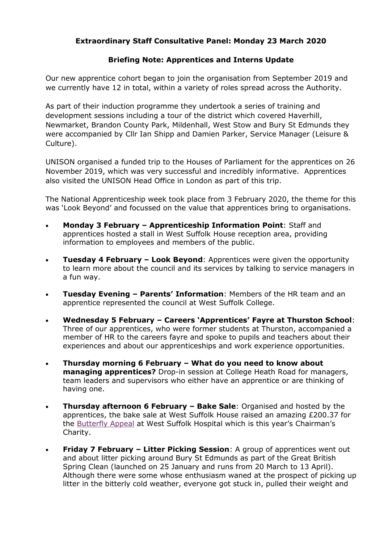## **Extraordinary Staff Consultative Panel: Monday 23 March 2020**

## **Briefing Note: Apprentices and Interns Update**

Our new apprentice cohort began to join the organisation from September 2019 and we currently have 12 in total, within a variety of roles spread across the Authority.

As part of their induction programme they undertook a series of training and development sessions including a tour of the district which covered Haverhill, Newmarket, Brandon County Park, Mildenhall, West Stow and Bury St Edmunds they were accompanied by Cllr Ian Shipp and Damien Parker, Service Manager (Leisure & Culture).

UNISON organised a funded trip to the Houses of Parliament for the apprentices on 26 November 2019, which was very successful and incredibly informative. Apprentices also visited the UNISON Head Office in London as part of this trip.

The National Apprenticeship week took place from 3 February 2020, the theme for this was 'Look Beyond' and focussed on the value that apprentices bring to organisations.

- **Monday 3 February – Apprenticeship Information Point**: Staff and apprentices hosted a stall in West Suffolk House reception area, providing information to employees and members of the public.
- **Tuesday 4 February – Look Beyond**: Apprentices were given the opportunity to learn more about the council and its services by talking to service managers in a fun way.
- **Tuesday Evening – Parents' Information**: Members of the HR team and an apprentice represented the council at West Suffolk College.
- **Wednesday 5 February – Careers 'Apprentices' Fayre at Thurston School**: Three of our apprentices, who were former students at Thurston, accompanied a member of HR to the careers fayre and spoke to pupils and teachers about their experiences and about our apprenticeships and work experience opportunities.
- **Thursday morning 6 February – What do you need to know about managing apprentices?** Drop-in session at College Heath Road for managers, team leaders and supervisors who either have an apprentice or are thinking of having one.
- **Thursday afternoon 6 February – Bake Sale**: Organised and hosted by the apprentices, the bake sale at West Suffolk House raised an amazing £200.37 for the [Butterfly Appeal](http://mywishcharity.wsh.nhs.uk/Charity/Appeals/ButterflyFund.aspx) at West Suffolk Hospital which is this year's Chairman's Charity.
- **Friday 7 February – Litter Picking Session**: A group of apprentices went out and about litter picking around Bury St Edmunds as part of the Great British Spring Clean (launched on 25 January and runs from 20 March to 13 April). Although there were some whose enthusiasm waned at the prospect of picking up litter in the bitterly cold weather, everyone got stuck in, pulled their weight and